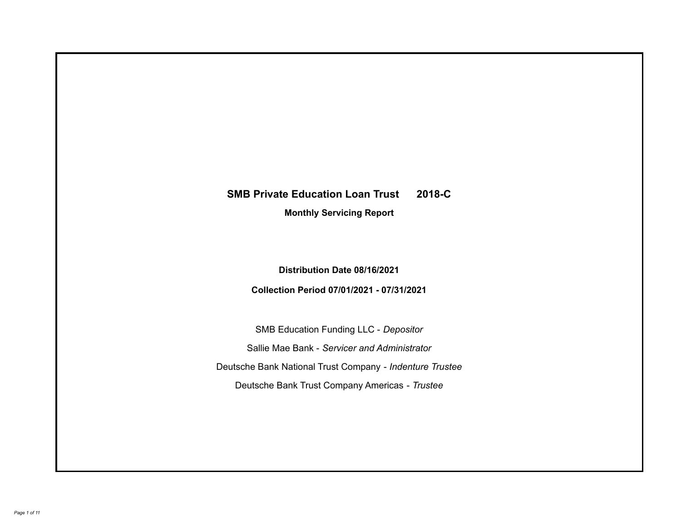# **SMB Private Education Loan Trust 2018-C**

**Monthly Servicing Report**

**Distribution Date 08/16/2021**

**Collection Period 07/01/2021 - 07/31/2021**

SMB Education Funding LLC - *Depositor* Sallie Mae Bank - *Servicer and Administrator* Deutsche Bank National Trust Company - *Indenture Trustee* Deutsche Bank Trust Company Americas - *Trustee*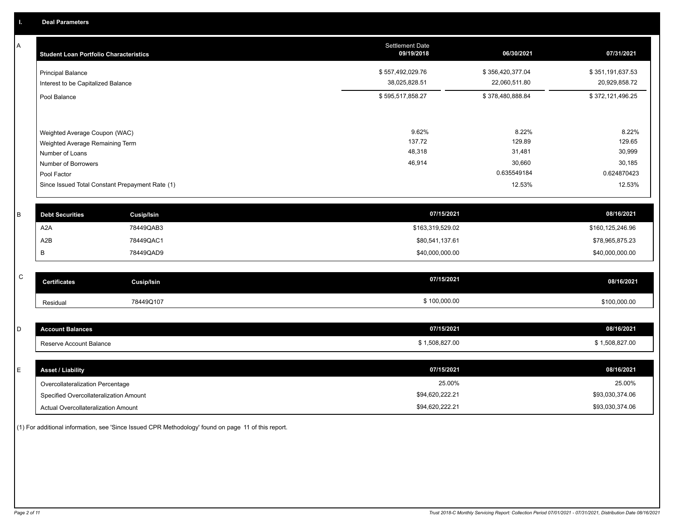A

| A            | <b>Student Loan Portfolio Characteristics</b>   |                   | <b>Settlement Date</b><br>09/19/2018 | 06/30/2021       | 07/31/2021       |
|--------------|-------------------------------------------------|-------------------|--------------------------------------|------------------|------------------|
|              | <b>Principal Balance</b>                        |                   | \$557,492,029.76                     | \$356,420,377.04 | \$351,191,637.53 |
|              | Interest to be Capitalized Balance              |                   | 38,025,828.51                        | 22,060,511.80    | 20,929,858.72    |
|              | Pool Balance                                    |                   | \$595,517,858.27                     | \$378,480,888.84 | \$372,121,496.25 |
|              |                                                 |                   |                                      |                  |                  |
|              | Weighted Average Coupon (WAC)                   |                   | 9.62%                                | 8.22%            | 8.22%            |
|              | Weighted Average Remaining Term                 |                   | 137.72                               | 129.89           | 129.65           |
|              | Number of Loans                                 |                   | 48,318                               | 31,481           | 30,999           |
|              | Number of Borrowers                             |                   | 46,914                               | 30,660           | 30,185           |
|              | Pool Factor                                     |                   |                                      | 0.635549184      | 0.624870423      |
|              | Since Issued Total Constant Prepayment Rate (1) |                   |                                      | 12.53%           | 12.53%           |
|              |                                                 |                   |                                      |                  |                  |
| B            | <b>Debt Securities</b>                          | <b>Cusip/Isin</b> | 07/15/2021                           |                  | 08/16/2021       |
|              | A <sub>2</sub> A                                | 78449QAB3         | \$163,319,529.02                     |                  | \$160,125,246.96 |
|              | A2B                                             | 78449QAC1         | \$80,541,137.61                      |                  | \$78,965,875.23  |
|              | B                                               | 78449QAD9         | \$40,000,000.00                      |                  | \$40,000,000.00  |
|              |                                                 |                   |                                      |                  |                  |
| $\mathsf{C}$ | <b>Certificates</b>                             | <b>Cusip/Isin</b> | 07/15/2021                           |                  | 08/16/2021       |
|              | Residual                                        | 78449Q107         | \$100,000.00                         |                  | \$100,000.00     |
|              |                                                 |                   |                                      |                  |                  |
| D            | <b>Account Balances</b>                         |                   | 07/15/2021                           |                  | 08/16/2021       |
|              | Reserve Account Balance                         |                   | \$1,508,827.00                       |                  | \$1,508,827.00   |
|              |                                                 |                   |                                      |                  |                  |
| E            | <b>Asset / Liability</b>                        |                   | 07/15/2021                           |                  | 08/16/2021       |
|              | Overcollateralization Percentage                |                   | 25.00%                               |                  | 25.00%           |

Specified Overcollateralization Amount

Actual Overcollateralization Amount \$94,620,222.21

(1) For additional information, see 'Since Issued CPR Methodology' found on page 11 of this report.

\$93,030,374.06 \$93,030,374.06

\$94,620,222.21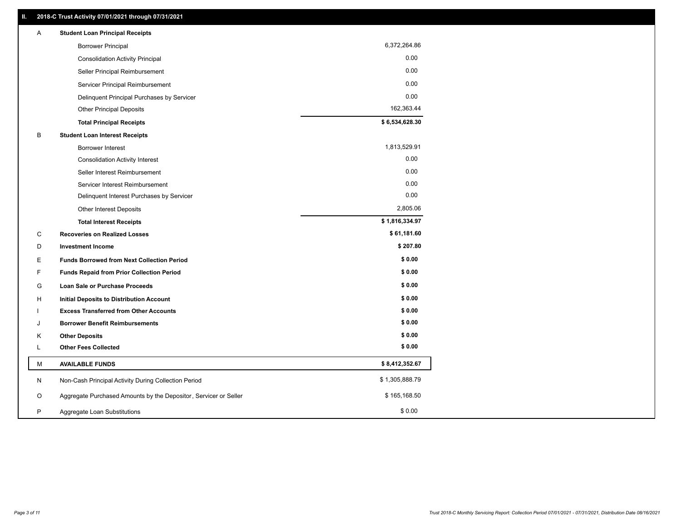| Α  | <b>Student Loan Principal Receipts</b>                           |                |
|----|------------------------------------------------------------------|----------------|
|    | <b>Borrower Principal</b>                                        | 6,372,264.86   |
|    | <b>Consolidation Activity Principal</b>                          | 0.00           |
|    | Seller Principal Reimbursement                                   | 0.00           |
|    | Servicer Principal Reimbursement                                 | 0.00           |
|    | Delinquent Principal Purchases by Servicer                       | 0.00           |
|    | <b>Other Principal Deposits</b>                                  | 162,363.44     |
|    | <b>Total Principal Receipts</b>                                  | \$6,534,628.30 |
| В  | <b>Student Loan Interest Receipts</b>                            |                |
|    | <b>Borrower Interest</b>                                         | 1,813,529.91   |
|    | <b>Consolidation Activity Interest</b>                           | 0.00           |
|    | Seller Interest Reimbursement                                    | 0.00           |
|    | Servicer Interest Reimbursement                                  | 0.00           |
|    | Delinquent Interest Purchases by Servicer                        | 0.00           |
|    | Other Interest Deposits                                          | 2,805.06       |
|    | <b>Total Interest Receipts</b>                                   | \$1,816,334.97 |
| C  | <b>Recoveries on Realized Losses</b>                             | \$61,181.60    |
| D  | <b>Investment Income</b>                                         | \$207.80       |
| Е  | <b>Funds Borrowed from Next Collection Period</b>                | \$0.00         |
| F  | <b>Funds Repaid from Prior Collection Period</b>                 | \$0.00         |
| G  | Loan Sale or Purchase Proceeds                                   | \$0.00         |
| H. | Initial Deposits to Distribution Account                         | \$0.00         |
|    | <b>Excess Transferred from Other Accounts</b>                    | \$0.00         |
| J  | <b>Borrower Benefit Reimbursements</b>                           | \$0.00         |
| Κ  | <b>Other Deposits</b>                                            | \$0.00         |
| L  | <b>Other Fees Collected</b>                                      | \$0.00         |
| M  | <b>AVAILABLE FUNDS</b>                                           | \$8,412,352.67 |
| N  | Non-Cash Principal Activity During Collection Period             | \$1,305,888.79 |
| O  | Aggregate Purchased Amounts by the Depositor, Servicer or Seller | \$165,168.50   |
| P  | Aggregate Loan Substitutions                                     | \$0.00         |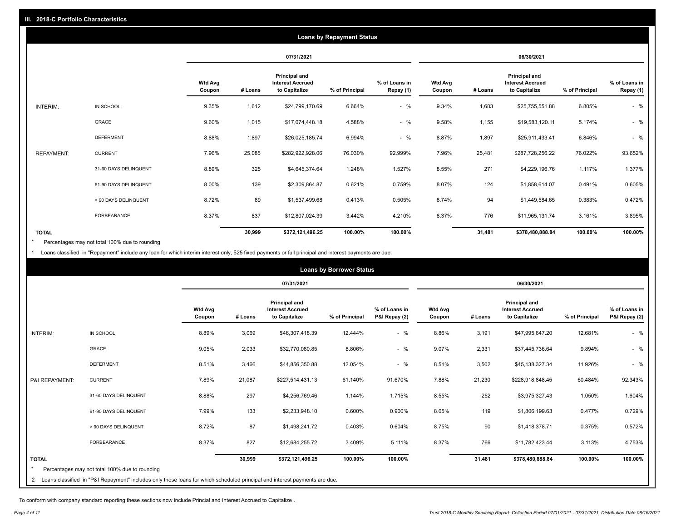|                   |                       |                          |         |                                                           | <b>Loans by Repayment Status</b> |                            |                          |         |                                                           |                |                            |
|-------------------|-----------------------|--------------------------|---------|-----------------------------------------------------------|----------------------------------|----------------------------|--------------------------|---------|-----------------------------------------------------------|----------------|----------------------------|
|                   |                       |                          |         | 07/31/2021                                                |                                  |                            |                          |         | 06/30/2021                                                |                |                            |
|                   |                       | <b>Wtd Avg</b><br>Coupon | # Loans | Principal and<br><b>Interest Accrued</b><br>to Capitalize | % of Principal                   | % of Loans in<br>Repay (1) | <b>Wtd Avg</b><br>Coupon | # Loans | Principal and<br><b>Interest Accrued</b><br>to Capitalize | % of Principal | % of Loans in<br>Repay (1) |
| INTERIM:          | IN SCHOOL             | 9.35%                    | 1,612   | \$24,799,170.69                                           | 6.664%                           | $-$ %                      | 9.34%                    | 1,683   | \$25,755,551.88                                           | 6.805%         | $-$ %                      |
|                   | GRACE                 | 9.60%                    | 1,015   | \$17,074,448.18                                           | 4.588%                           | $-$ %                      | 9.58%                    | 1,155   | \$19,583,120.11                                           | 5.174%         | $-$ %                      |
|                   | <b>DEFERMENT</b>      | 8.88%                    | 1,897   | \$26,025,185.74                                           | 6.994%                           | $-$ %                      | 8.87%                    | 1,897   | \$25,911,433.41                                           | 6.846%         | $-$ %                      |
| <b>REPAYMENT:</b> | <b>CURRENT</b>        | 7.96%                    | 25,085  | \$282,922,928.06                                          | 76.030%                          | 92.999%                    | 7.96%                    | 25,481  | \$287,728,256.22                                          | 76.022%        | 93.652%                    |
|                   | 31-60 DAYS DELINQUENT | 8.89%                    | 325     | \$4,645,374.64                                            | 1.248%                           | 1.527%                     | 8.55%                    | 271     | \$4,229,196.76                                            | 1.117%         | 1.377%                     |
|                   | 61-90 DAYS DELINQUENT | 8.00%                    | 139     | \$2,309,864.87                                            | 0.621%                           | 0.759%                     | 8.07%                    | 124     | \$1,858,614.07                                            | 0.491%         | 0.605%                     |
|                   | > 90 DAYS DELINQUENT  | 8.72%                    | 89      | \$1,537,499.68                                            | 0.413%                           | 0.505%                     | 8.74%                    | 94      | \$1,449,584.65                                            | 0.383%         | 0.472%                     |
|                   | <b>FORBEARANCE</b>    | 8.37%                    | 837     | \$12,807,024.39                                           | 3.442%                           | 4.210%                     | 8.37%                    | 776     | \$11,965,131.74                                           | 3.161%         | 3.895%                     |
| <b>TOTAL</b>      |                       |                          | 30,999  | \$372,121,496.25                                          | 100.00%                          | 100.00%                    |                          | 31,481  | \$378,480,888.84                                          | 100.00%        | 100.00%                    |

Percentages may not total 100% due to rounding  $\pmb{\ast}$ 

1 Loans classified in "Repayment" include any loan for which interim interest only, \$25 fixed payments or full principal and interest payments are due.

|                 |                                                                                                                              |                          | <b>Loans by Borrower Status</b> |                                                           |                |                                |                          |         |                                                           |                |                                |
|-----------------|------------------------------------------------------------------------------------------------------------------------------|--------------------------|---------------------------------|-----------------------------------------------------------|----------------|--------------------------------|--------------------------|---------|-----------------------------------------------------------|----------------|--------------------------------|
|                 |                                                                                                                              |                          |                                 | 07/31/2021                                                |                |                                |                          |         | 06/30/2021                                                |                |                                |
|                 |                                                                                                                              | <b>Wtd Avg</b><br>Coupon | # Loans                         | Principal and<br><b>Interest Accrued</b><br>to Capitalize | % of Principal | % of Loans in<br>P&I Repay (2) | <b>Wtd Avg</b><br>Coupon | # Loans | Principal and<br><b>Interest Accrued</b><br>to Capitalize | % of Principal | % of Loans in<br>P&I Repay (2) |
| <b>INTERIM:</b> | IN SCHOOL                                                                                                                    | 8.89%                    | 3,069                           | \$46,307,418.39                                           | 12.444%        | $-$ %                          | 8.86%                    | 3,191   | \$47,995,647.20                                           | 12.681%        | $-$ %                          |
|                 | <b>GRACE</b>                                                                                                                 | 9.05%                    | 2,033                           | \$32,770,080.85                                           | 8.806%         | $-$ %                          | 9.07%                    | 2,331   | \$37,445,736.64                                           | 9.894%         | $-$ %                          |
|                 | <b>DEFERMENT</b>                                                                                                             | 8.51%                    | 3,466                           | \$44,856,350.88                                           | 12.054%        | $-$ %                          | 8.51%                    | 3,502   | \$45,138,327.34                                           | 11.926%        | $-$ %                          |
| P&I REPAYMENT:  | <b>CURRENT</b>                                                                                                               | 7.89%                    | 21,087                          | \$227,514,431.13                                          | 61.140%        | 91.670%                        | 7.88%                    | 21,230  | \$228,918,848.45                                          | 60.484%        | 92.343%                        |
|                 | 31-60 DAYS DELINQUENT                                                                                                        | 8.88%                    | 297                             | \$4,256,769.46                                            | 1.144%         | 1.715%                         | 8.55%                    | 252     | \$3,975,327.43                                            | 1.050%         | 1.604%                         |
|                 | 61-90 DAYS DELINQUENT                                                                                                        | 7.99%                    | 133                             | \$2,233,948.10                                            | 0.600%         | 0.900%                         | 8.05%                    | 119     | \$1,806,199.63                                            | 0.477%         | 0.729%                         |
|                 | > 90 DAYS DELINQUENT                                                                                                         | 8.72%                    | 87                              | \$1,498,241.72                                            | 0.403%         | 0.604%                         | 8.75%                    | 90      | \$1,418,378.71                                            | 0.375%         | 0.572%                         |
|                 | <b>FORBEARANCE</b>                                                                                                           | 8.37%                    | 827                             | \$12,684,255.72                                           | 3.409%         | 5.111%                         | 8.37%                    | 766     | \$11,782,423.44                                           | 3.113%         | 4.753%                         |
| <b>TOTAL</b>    |                                                                                                                              |                          | 30,999                          | \$372,121,496.25                                          | 100.00%        | 100.00%                        |                          | 31,481  | \$378,480,888.84                                          | 100.00%        | 100.00%                        |
|                 | Percentages may not total 100% due to rounding                                                                               |                          |                                 |                                                           |                |                                |                          |         |                                                           |                |                                |
|                 | 2 Loans classified in "P&I Repayment" includes only those loans for which scheduled principal and interest payments are due. |                          |                                 |                                                           |                |                                |                          |         |                                                           |                |                                |

To conform with company standard reporting these sections now include Princial and Interest Accrued to Capitalize .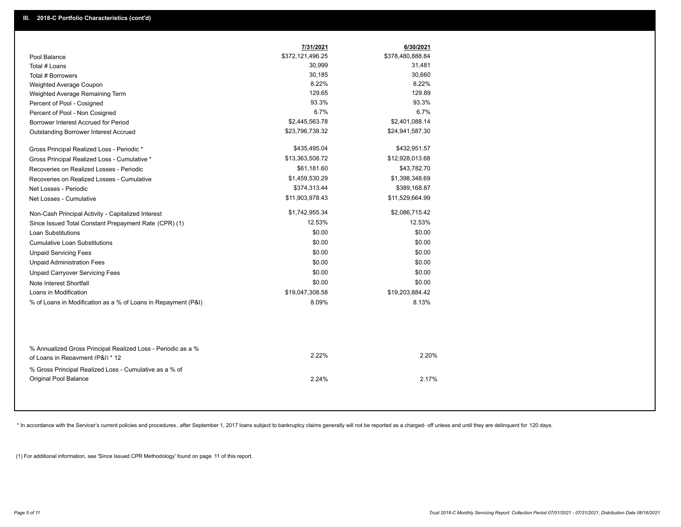|                                                                                                  | 7/31/2021        | 6/30/2021        |  |
|--------------------------------------------------------------------------------------------------|------------------|------------------|--|
| Pool Balance                                                                                     | \$372,121,496.25 | \$378,480,888.84 |  |
| Total # Loans                                                                                    | 30,999           | 31,481           |  |
| Total # Borrowers                                                                                | 30,185           | 30,660           |  |
| Weighted Average Coupon                                                                          | 8.22%            | 8.22%            |  |
| Weighted Average Remaining Term                                                                  | 129.65           | 129.89           |  |
| Percent of Pool - Cosigned                                                                       | 93.3%            | 93.3%            |  |
| Percent of Pool - Non Cosigned                                                                   | 6.7%             | 6.7%             |  |
| Borrower Interest Accrued for Period                                                             | \$2,445,563.78   | \$2,401,088.14   |  |
| Outstanding Borrower Interest Accrued                                                            | \$23,796,738.32  | \$24,941,587.30  |  |
| Gross Principal Realized Loss - Periodic *                                                       | \$435,495.04     | \$432,951.57     |  |
| Gross Principal Realized Loss - Cumulative *                                                     | \$13,363,508.72  | \$12,928,013.68  |  |
| Recoveries on Realized Losses - Periodic                                                         | \$61,181.60      | \$43,782.70      |  |
| Recoveries on Realized Losses - Cumulative                                                       | \$1,459,530.29   | \$1,398,348.69   |  |
| Net Losses - Periodic                                                                            | \$374,313.44     | \$389,168.87     |  |
| Net Losses - Cumulative                                                                          | \$11,903,978.43  | \$11,529,664.99  |  |
| Non-Cash Principal Activity - Capitalized Interest                                               | \$1,742,955.34   | \$2,086,715.42   |  |
| Since Issued Total Constant Prepayment Rate (CPR) (1)                                            | 12.53%           | 12.53%           |  |
| <b>Loan Substitutions</b>                                                                        | \$0.00           | \$0.00           |  |
| <b>Cumulative Loan Substitutions</b>                                                             | \$0.00           | \$0.00           |  |
| <b>Unpaid Servicing Fees</b>                                                                     | \$0.00           | \$0.00           |  |
| <b>Unpaid Administration Fees</b>                                                                | \$0.00           | \$0.00           |  |
| <b>Unpaid Carryover Servicing Fees</b>                                                           | \$0.00           | \$0.00           |  |
| Note Interest Shortfall                                                                          | \$0.00           | \$0.00           |  |
| Loans in Modification                                                                            | \$19,047,308.58  | \$19,203,884.42  |  |
| % of Loans in Modification as a % of Loans in Repayment (P&I)                                    | 8.09%            | 8.13%            |  |
|                                                                                                  |                  |                  |  |
| % Annualized Gross Principal Realized Loss - Periodic as a %<br>of Loans in Repayment (P&I) * 12 | 2.22%            | 2.20%            |  |
| % Gross Principal Realized Loss - Cumulative as a % of<br>Original Pool Balance                  | 2.24%            | 2.17%            |  |

\* In accordance with the Servicer's current policies and procedures, after September 1, 2017 loans subject to bankruptcy claims generally will not be reported as a charged- off unless and until they are delinquent for 120

(1) For additional information, see 'Since Issued CPR Methodology' found on page 11 of this report.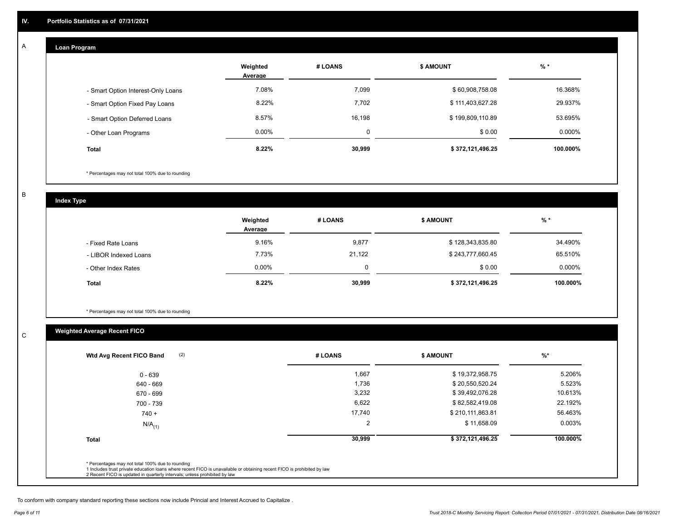#### **Loan Program**  A

|                                    | Weighted<br>Average | # LOANS | <b>\$ AMOUNT</b> | $%$ *     |
|------------------------------------|---------------------|---------|------------------|-----------|
| - Smart Option Interest-Only Loans | 7.08%               | 7,099   | \$60,908,758.08  | 16.368%   |
| - Smart Option Fixed Pay Loans     | 8.22%               | 7,702   | \$111,403,627.28 | 29.937%   |
| - Smart Option Deferred Loans      | 8.57%               | 16,198  | \$199,809,110.89 | 53.695%   |
| - Other Loan Programs              | $0.00\%$            | C       | \$0.00           | $0.000\%$ |
| <b>Total</b>                       | 8.22%               | 30,999  | \$372,121,496.25 | 100.000%  |

\* Percentages may not total 100% due to rounding

B

C

**Index Type**

|                       | Weighted<br>Average | # LOANS  | \$ AMOUNT        | % *       |
|-----------------------|---------------------|----------|------------------|-----------|
| - Fixed Rate Loans    | 9.16%               | 9,877    | \$128,343,835.80 | 34.490%   |
| - LIBOR Indexed Loans | 7.73%               | 21.122   | \$243,777,660.45 | 65.510%   |
| - Other Index Rates   | $0.00\%$            | $\Omega$ | \$0.00           | $0.000\%$ |
| Total                 | 8.22%               | 30,999   | \$372,121,496.25 | 100.000%  |

\* Percentages may not total 100% due to rounding

## **Weighted Average Recent FICO**

| 1,667<br>1,736 | \$19,372,958.75<br>\$20,550,520.24 | 5.206%   |
|----------------|------------------------------------|----------|
|                |                                    |          |
|                |                                    | 5.523%   |
| 3,232          | \$39,492,076.28                    | 10.613%  |
| 6,622          | \$82,582,419.08                    | 22.192%  |
| 17,740         | \$210,111,863.81                   | 56.463%  |
| 2              | \$11,658.09                        | 0.003%   |
| 30,999         | \$372,121,496.25                   | 100.000% |
|                |                                    |          |

To conform with company standard reporting these sections now include Princial and Interest Accrued to Capitalize .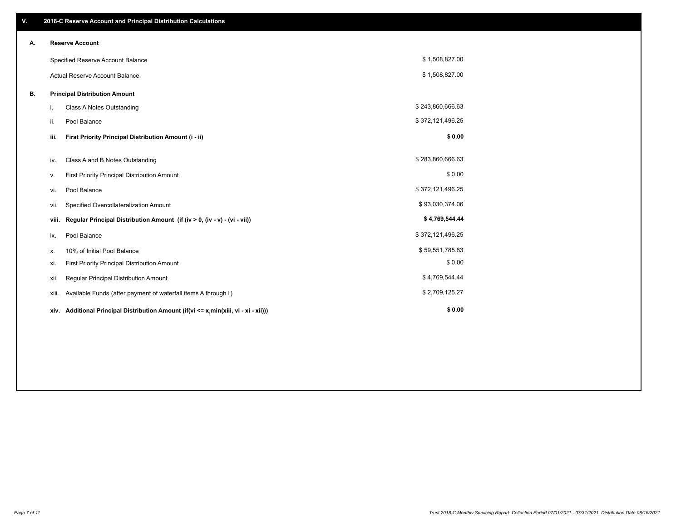| V. |       | 2018-C Reserve Account and Principal Distribution Calculations                  |                  |  |
|----|-------|---------------------------------------------------------------------------------|------------------|--|
| А. |       | <b>Reserve Account</b>                                                          |                  |  |
|    |       | Specified Reserve Account Balance                                               | \$1,508,827.00   |  |
|    |       | <b>Actual Reserve Account Balance</b>                                           | \$1,508,827.00   |  |
| В. |       | <b>Principal Distribution Amount</b>                                            |                  |  |
|    | i.    | <b>Class A Notes Outstanding</b>                                                | \$243,860,666.63 |  |
|    | ii.   | Pool Balance                                                                    | \$372,121,496.25 |  |
|    | iii.  | First Priority Principal Distribution Amount (i - ii)                           | \$0.00           |  |
|    | iv.   | Class A and B Notes Outstanding                                                 | \$283,860,666.63 |  |
|    | ν.    | First Priority Principal Distribution Amount                                    | \$0.00           |  |
|    | vi.   | Pool Balance                                                                    | \$372,121,496.25 |  |
|    | vii.  | Specified Overcollateralization Amount                                          | \$93,030,374.06  |  |
|    | viii. | Regular Principal Distribution Amount (if (iv > 0, (iv - v) - (vi - vii))       | \$4,769,544.44   |  |
|    | ix.   | Pool Balance                                                                    | \$372,121,496.25 |  |
|    | х.    | 10% of Initial Pool Balance                                                     | \$59,551,785.83  |  |
|    | xi.   | First Priority Principal Distribution Amount                                    | \$0.00           |  |
|    | xii.  | Regular Principal Distribution Amount                                           | \$4,769,544.44   |  |
|    | xiii. | Available Funds (after payment of waterfall items A through I)                  | \$2,709,125.27   |  |
|    | xiv.  | Additional Principal Distribution Amount (if(vi <= x,min(xiii, vi - xi - xii))) | \$0.00           |  |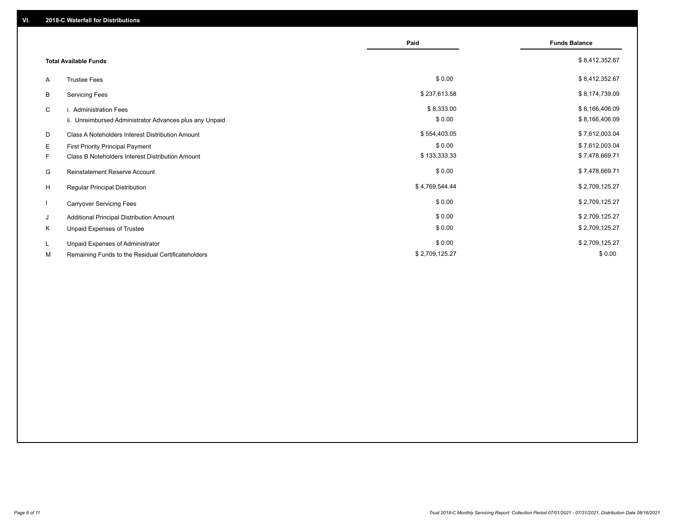|    |                                                         | Paid           | <b>Funds Balance</b> |
|----|---------------------------------------------------------|----------------|----------------------|
|    | <b>Total Available Funds</b>                            |                | \$8,412,352.67       |
| A  | <b>Trustee Fees</b>                                     | \$0.00         | \$8,412,352.67       |
| В  | <b>Servicing Fees</b>                                   | \$237,613.58   | \$8,174,739.09       |
| C  | i. Administration Fees                                  | \$8,333.00     | \$8,166,406.09       |
|    | ii. Unreimbursed Administrator Advances plus any Unpaid | \$0.00         | \$8,166,406.09       |
| D  | Class A Noteholders Interest Distribution Amount        | \$554,403.05   | \$7,612,003.04       |
| E. | First Priority Principal Payment                        | \$0.00         | \$7,612,003.04       |
| F. | Class B Noteholders Interest Distribution Amount        | \$133,333.33   | \$7,478,669.71       |
| G  | <b>Reinstatement Reserve Account</b>                    | \$0.00         | \$7,478,669.71       |
| H  | Regular Principal Distribution                          | \$4,769,544.44 | \$2,709,125.27       |
|    | <b>Carryover Servicing Fees</b>                         | \$0.00         | \$2,709,125.27       |
| J  | Additional Principal Distribution Amount                | \$0.00         | \$2,709,125.27       |
| Κ  | Unpaid Expenses of Trustee                              | \$0.00         | \$2,709,125.27       |
| L. | Unpaid Expenses of Administrator                        | \$0.00         | \$2,709,125.27       |
| М  | Remaining Funds to the Residual Certificateholders      | \$2,709,125.27 | \$0.00               |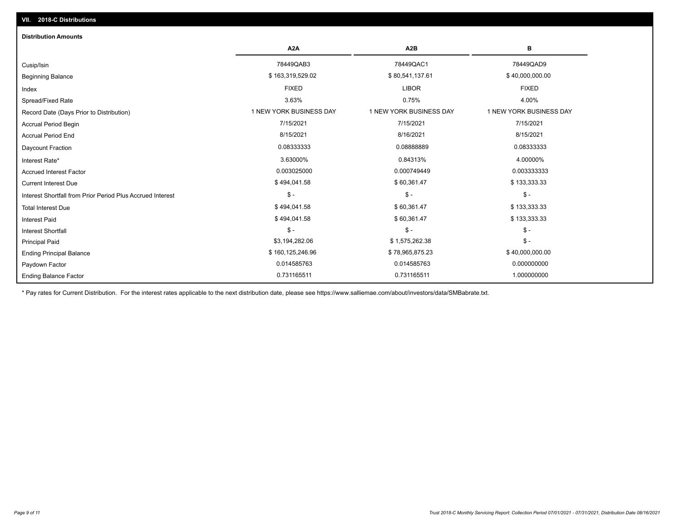| <b>Distribution Amounts</b>                                |                         |                         |                         |
|------------------------------------------------------------|-------------------------|-------------------------|-------------------------|
|                                                            | A <sub>2</sub> A        | A <sub>2</sub> B        | в                       |
| Cusip/Isin                                                 | 78449QAB3               | 78449QAC1               | 78449QAD9               |
| <b>Beginning Balance</b>                                   | \$163,319,529.02        | \$80,541,137.61         | \$40,000,000.00         |
| Index                                                      | <b>FIXED</b>            | <b>LIBOR</b>            | <b>FIXED</b>            |
| Spread/Fixed Rate                                          | 3.63%                   | 0.75%                   | 4.00%                   |
| Record Date (Days Prior to Distribution)                   | 1 NEW YORK BUSINESS DAY | 1 NEW YORK BUSINESS DAY | 1 NEW YORK BUSINESS DAY |
| <b>Accrual Period Begin</b>                                | 7/15/2021               | 7/15/2021               | 7/15/2021               |
| <b>Accrual Period End</b>                                  | 8/15/2021               | 8/16/2021               | 8/15/2021               |
| Daycount Fraction                                          | 0.08333333              | 0.08888889              | 0.08333333              |
| Interest Rate*                                             | 3.63000%                | 0.84313%                | 4.00000%                |
| <b>Accrued Interest Factor</b>                             | 0.003025000             | 0.000749449             | 0.003333333             |
| <b>Current Interest Due</b>                                | \$494,041.58            | \$60,361.47             | \$133,333.33            |
| Interest Shortfall from Prior Period Plus Accrued Interest | $\frac{1}{2}$           | $\mathsf{\$}$ -         | $\mathsf{\$}$ -         |
| <b>Total Interest Due</b>                                  | \$494,041.58            | \$60,361.47             | \$133,333.33            |
| <b>Interest Paid</b>                                       | \$494,041.58            | \$60,361.47             | \$133,333.33            |
| <b>Interest Shortfall</b>                                  | $\mathsf{\$}$ -         | $\mathsf{\$}$ -         | $$ -$                   |
| <b>Principal Paid</b>                                      | \$3,194,282.06          | \$1,575,262.38          | $$ -$                   |
| <b>Ending Principal Balance</b>                            | \$160,125,246.96        | \$78,965,875.23         | \$40,000,000.00         |
| Paydown Factor                                             | 0.014585763             | 0.014585763             | 0.000000000             |
| <b>Ending Balance Factor</b>                               | 0.731165511             | 0.731165511             | 1.000000000             |

\* Pay rates for Current Distribution. For the interest rates applicable to the next distribution date, please see https://www.salliemae.com/about/investors/data/SMBabrate.txt.

**VII. 2018-C Distributions**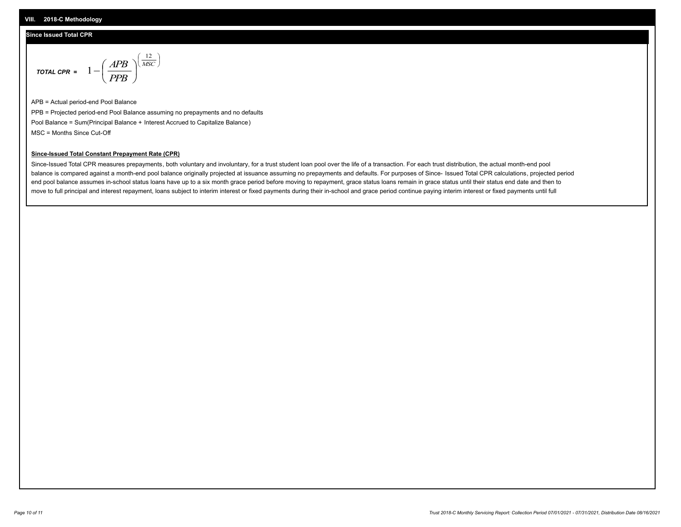#### **VIII. 2018-C Methodology**

### **Since Issued Total CPR**

$$
\text{total CPR} = 1 - \left(\frac{APB}{PPB}\right)^{\left(\frac{12}{MSC}\right)}
$$

APB = Actual period-end Pool Balance PPB = Projected period-end Pool Balance assuming no prepayments and no defaults Pool Balance = Sum(Principal Balance + Interest Accrued to Capitalize Balance) MSC = Months Since Cut-Off

### **Since-Issued Total Constant Prepayment Rate (CPR)**

Since-Issued Total CPR measures prepayments, both voluntary and involuntary, for a trust student loan pool over the life of a transaction. For each trust distribution, the actual month-end pool balance is compared against a month-end pool balance originally projected at issuance assuming no prepayments and defaults. For purposes of Since- Issued Total CPR calculations, projected period end pool balance assumes in-school status loans have up to a six month grace period before moving to repayment, grace status loans remain in grace status until their status end date and then to move to full principal and interest repayment, loans subject to interim interest or fixed payments during their in-school and grace period continue paying interim interest or fixed payments until full